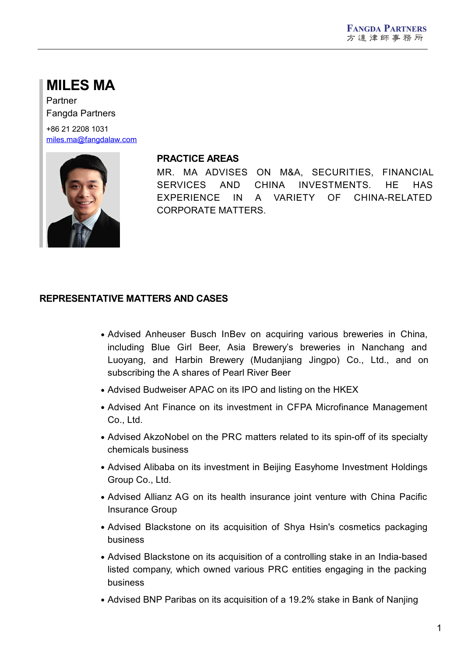## **MILES MA**

Partner Fangda Partners

+86 21 2208 1031 [miles.ma@fangdalaw.com](mailto:miles.ma@fangdalaw.com)



#### **PRACTICE AREAS**

MR. MA ADVISES ON M&A, SECURITIES, FINANCIAL SERVICES AND CHINA INVESTMENTS. HE HAS EXPERIENCE IN A VARIETY OF CHINA-RELATED CORPORATE MATTERS.

#### **REPRESENTATIVE MATTERS AND CASES**

- Advised Anheuser Busch InBev on acquiring various breweries in China, including Blue Girl Beer, Asia Brewery's breweries in Nanchang and Luoyang, and Harbin Brewery (Mudanjiang Jingpo) Co., Ltd., and on subscribing the A shares of Pearl River Beer
- Advised Budweiser APAC on its IPO and listing on the HKEX
- Advised Ant Finance on its investment in CFPA Microfinance Management Co., Ltd.
- Advised AkzoNobel on the PRC matters related to its spin-off of its specialty chemicals business
- Advised Alibaba on its investment in Beijing Easyhome Investment Holdings Group Co., Ltd.
- Advised Allianz AG on its health insurance joint venture with China Pacific Insurance Group
- Advised Blackstone on its acquisition of Shya Hsin's cosmetics packaging business
- Advised Blackstone on its acquisition of a controlling stake in an India-based listed company, which owned various PRC entities engaging in the packing business
- Advised BNP Paribas on its acquisition of a 19.2% stake in Bank of Nanjing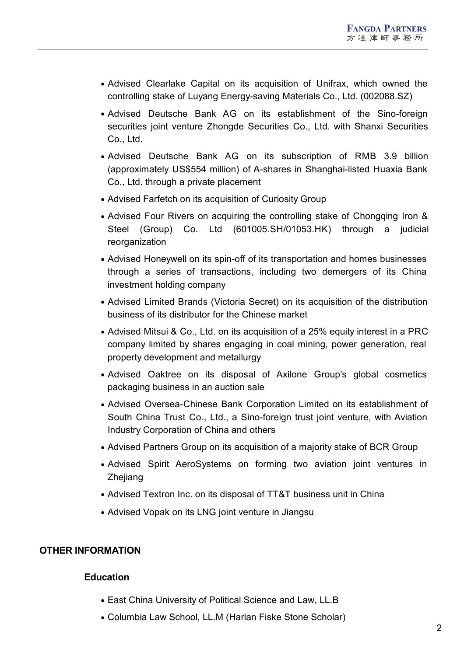- Advised Clearlake Capital on its acquisition of Unifrax, which owned the controlling stake of Luyang Energy-saving Materials Co., Ltd. (002088.SZ)
- Advised Deutsche Bank AG on its establishment of the Sino-foreign securities joint venture Zhongde Securities Co., Ltd. with Shanxi Securities Co., Ltd.
- Advised Deutsche Bank AG on its subscription of RMB 3.9 billion (approximately US\$554 million) of A-shares in Shanghai-listed Huaxia Bank Co., Ltd. through a private placement
- Advised Farfetch on its acquisition of Curiosity Group
- Advised Four Rivers on acquiring the controlling stake of Chongqing Iron & Steel (Group) Co. Ltd (601005.SH/01053.HK) through a judicial reorganization
- Advised Honeywell on its spin-off of its transportation and homes businesses through a series of transactions, including two demergers of its China investment holding company
- Advised Limited Brands (Victoria Secret) on its acquisition of the distribution business of its distributor for the Chinese market
- Advised Mitsui & Co., Ltd. on its acquisition of a 25% equity interest in a PRC company limited by shares engaging in coal mining, power generation, real property development and metallurgy
- Advised Oaktree on its disposal of Axilone Group's global cosmetics packaging business in an auction sale
- Advised Oversea-Chinese Bank Corporation Limited on its establishment of South China Trust Co., Ltd., a Sino-foreign trust joint venture, with Aviation Industry Corporation of China and others
- Advised Partners Group on its acquisition of a majority stake of BCR Group
- Advised Spirit AeroSystems on forming two aviation joint ventures in Zhejiang
- Advised Textron Inc. on its disposal of TT&T business unit in China
- Advised Vopak on its LNG joint venture in Jiangsu

#### **OTHER INFORMATION**

#### **Education**

- East China University of Political Science and Law, LL.B
- Columbia Law School, LL.M (Harlan Fiske Stone Scholar)